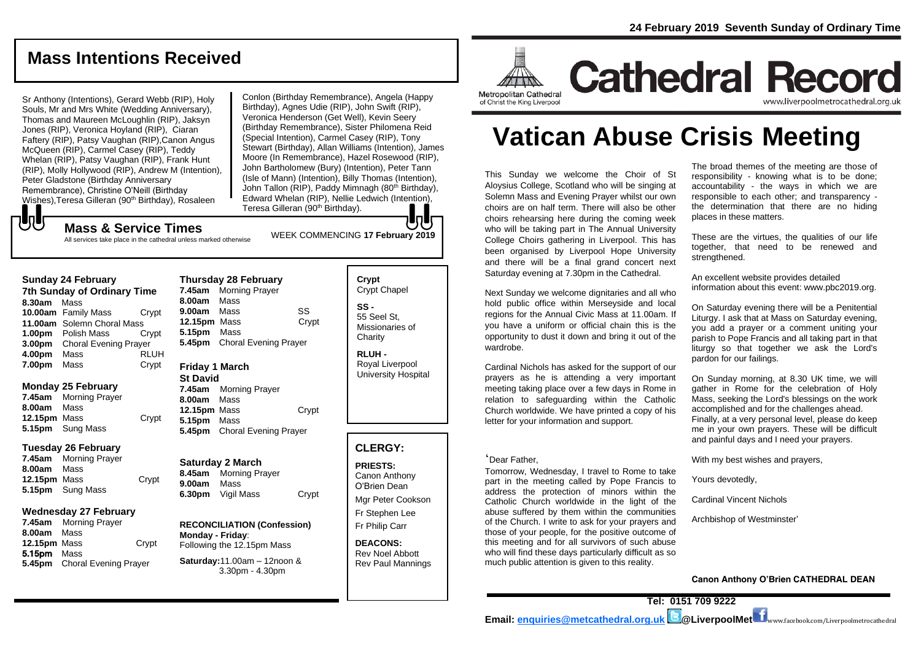## **Mass Intentions Received**

Sr Anthony (Intentions), Gerard Webb (RIP), Holy Souls, Mr and Mrs White (Wedding Anniversary), Thomas and Maureen McLoughlin (RIP), Jaksyn Jones (RIP), Veronica Hoyland (RIP), Ciaran Faftery (RIP), Patsy Vaughan (RIP),Canon Angus McQueen (RIP), Carmel Casey (RIP), Teddy Whelan (RIP), Patsy Vaughan (RIP), Frank Hunt (RIP), Molly Hollywood (RIP), Andrew M (Intention), Peter Gladstone (Birthday Anniversary Remembrance), Christine O'Neill (Birthday Wishes), Teresa Gilleran (90<sup>th</sup> Birthday), Rosaleen

Conlon (Birthday Remembrance), Angela (Happy Birthday), Agnes Udie (RIP), John Swift (RIP), Veronica Henderson (Get Well), Kevin Seery (Birthday Remembrance), Sister Philomena Reid (Special Intention), Carmel Casey (RIP), Tony Stewart (Birthday), Allan Williams (Intention), James Moore (In Remembrance), Hazel Rosewood (RIP), John Bartholomew (Bury) (Intention), Peter Tann (Isle of Mann) (Intention), Billy Thomas (Intention), John Tallon (RIP), Paddy Mimnagh (80<sup>th</sup> Birthday), Edward Whelan (RIP), Nellie Ledwich (Intention), Teresa Gilleran (90<sup>th</sup> Birthday).

## WEEK COMMENCING **<sup>17</sup> February <sup>2019</sup> Mass & Service Times**

All services take place in the cathedral unless marked otherwise

#### **Sunday 24 February**

もし

**7th Sunday of Ordinary Time 8.30am** Mass **10.00am** Family Mass Crypt **11.00am** Solemn Choral Mass **1.00pm** Polish Mass Crypt **3.00pm** Choral Evening Prayer **4.00pm** Mass RLUH **7.00pm** Mass **Crypt** 

#### **Monday 25 February**

**7.45am** Morning Prayer **8.00am** Mass **12.15pm** Mass Crypt **5.15pm** Sung Mass

#### **Tuesday 26 February**

**7.45am** Morning Prayer **8.00am** Mass **12.15pm** Mass Crypt **5.15pm** Sung Mass

#### **Wednesday 27 February**

**7.45am** Morning Prayer **8.00am** Mass **12.15pm** Mass Crypt 5.15pm Mass **5.45pm** Choral Evening Prayer

**Thursday 28 February 7.45am** Morning Prayer **8.00am** Mass **9.00am** Mass SS **12.15pm** Mass Crypt **5.15pm** Mass **5.45pm** Choral Evening Prayer

#### **Friday 1 March**

**St David 7.45am** Morning Prayer **8.00am** Mass **12.15pm** Mass Crypt **5.15pm** Mass **5.45pm** Choral Evening Prayer

#### **Saturday 2 March 8.45am** Morning Prayer **9.00am** Mass **6.30pm** Vigil Mass Crypt

**RECONCILIATION (Confession) Monday - Friday**: Following the 12.15pm Mass

#### **Saturday:**11.00am – 12noon & 3.30pm - 4.30pm

**Crypt**  Crypt Chapel **SS -** 55 Seel St, Missionaries of **Charity** 

**RLUH -** Royal Liverpool University Hospital

### **CLERGY:**

**PRIESTS:** Canon Anthony O'Brien *Dean*

Mgr Peter Cookson Fr Stephen Lee Fr Philip Carr

**DEACONS:** Rev Noel Abbott Rev Paul Mannings



# **Cathedral Record** www.liverpoolmetrocathedral.org.ul

of Christ the King Liverpool

# **Vatican Abuse Crisis Meeting**

This Sunday we welcome the Choir of St Aloysius College, Scotland who will be singing at Solemn Mass and Evening Prayer whilst our own choirs are on half term. There will also be other choirs rehearsing here during the coming week who will be taking part in The Annual University College Choirs gathering in Liverpool. This has been organised by Liverpool Hope University and there will be a final grand concert next Saturday evening at 7.30pm in the Cathedral.

Next Sunday we welcome dignitaries and all who hold public office within Merseyside and local regions for the Annual Civic Mass at 11.00am. If you have a uniform or official chain this is the opportunity to dust it down and bring it out of the wardrobe.

Cardinal Nichols has asked for the support of our prayers as he is attending a very important meeting taking place over a few days in Rome in relation to safeguarding within the Catholic Church worldwide. We have printed a copy of his letter for your information and support.

#### 'Dear Father,

Tomorrow, Wednesday, I travel to Rome to take part in the meeting called by Pope Francis to address the protection of minors within the Catholic Church worldwide in the light of the abuse suffered by them within the communities of the Church. I write to ask for your prayers and those of your people, for the positive outcome of this meeting and for all survivors of such abuse who will find these days particularly difficult as so much public attention is given to this reality.

The broad themes of the meeting are those of responsibility - knowing what is to be done; accountability - the ways in which we are responsible to each other; and transparency the determination that there are no hiding places in these matters.

These are the virtues, the qualities of our life together, that need to be renewed and strengthened.

An excellent website provides detailed information about this event: www.pbc2019.org.

On Saturday evening there will be a Penitential Liturgy. I ask that at Mass on Saturday evening, you add a prayer or a comment uniting your parish to Pope Francis and all taking part in that liturgy so that together we ask the Lord's pardon for our failings.

On Sunday morning, at 8.30 UK time, we will gather in Rome for the celebration of Holy Mass, seeking the Lord's blessings on the work accomplished and for the challenges ahead. Finally, at a very personal level, please do keep me in your own prayers. These will be difficult and painful days and I need your prayers.

With my best wishes and prayers,

Yours devotedly,

Cardinal Vincent Nichols

Archbishop of Westminster'

#### **Canon Anthony O'Brien CATHEDRAL DEAN**

**Tel: 0151 709 9222 Email: [enquiries@metcathedral.org.uk](mailto:enquiries@metcathedral.org.uk) @LiverpoolMet** www.facebook.com/Liverpoolmetrocathedral